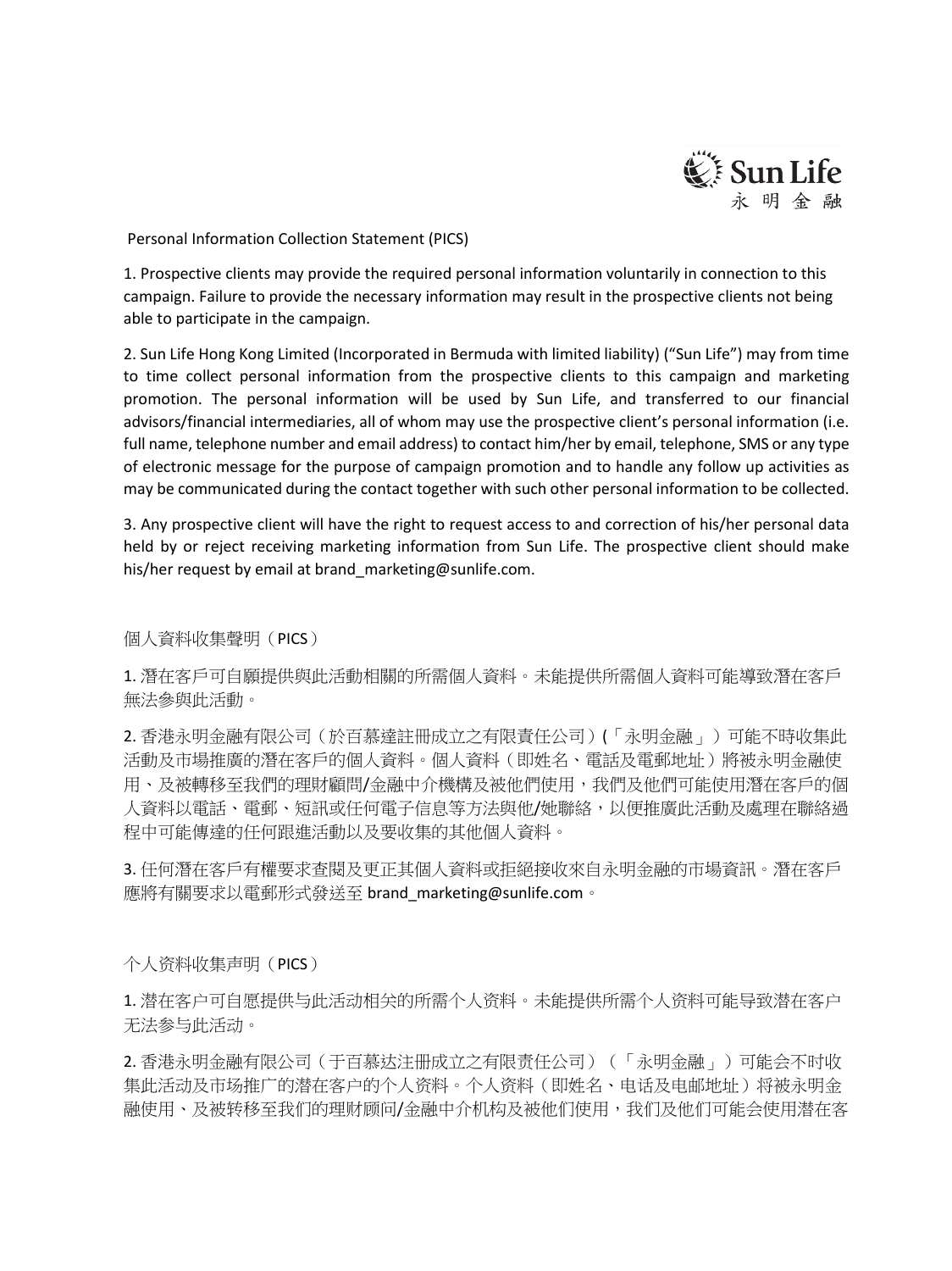

Personal Information Collection Statement (PICS)

1. Prospective clients may provide the required personal information voluntarily in connection to this campaign. Failure to provide the necessary information may result in the prospective clients not being able to participate in the campaign.

2. Sun Life Hong Kong Limited (Incorporated in Bermuda with limited liability) ("Sun Life") may from time to time collect personal information from the prospective clients to this campaign and marketing promotion. The personal information will be used by Sun Life, and transferred to our financial advisors/financial intermediaries, all of whom may use the prospective client's personal information (i.e. full name, telephone number and email address) to contact him/her by email, telephone, SMS or any type of electronic message for the purpose of campaign promotion and to handle any follow up activities as may be communicated during the contact together with such other personal information to be collected.

3. Any prospective client will have the right to request access to and correction of his/her personal data held by or reject receiving marketing information from Sun Life. The prospective client should make his/her request by email at brand\_marketing@sunlife.com.

個人資料收集聲明(PICS)

1. 潛在客戶可自願提供與此活動相關的所需個人資料。未能提供所需個人資料可能導致潛在客戶 無法參與此活動。

2. 香港永明金融有限公司(於百慕達註冊成立之有限責任公司)(「永明金融」)可能不時收集此 活動及市場推廣的潛在客戶的個人資料。個人資料(即姓名、電話及電郵地址)將被永明金融使 用、及被轉移至我們的理財顧問/金融中介機構及被他們使用,我們及他們可能使用潛在客戶的個 人資料以電話、電郵、短訊或任何電子信息等方法與他/她聯絡,以便推廣此活動及處理在聯絡過 程中可能傳達的任何跟進活動以及要收集的其他個人資料。

3. 任何潛在客戶有權要求查閱及更正其個人資料或拒絕接收來自永明金融的市場資訊。潛在客戶 應將有關要求以電郵形式發送至 brand\_marketing@sunlife.com。

个人资料收集声明(PICS)

1. 潜在客户可自愿提供与此活动相关的所需个人资料。未能提供所需个人资料可能导致潜在客户 无法参与此活动。

2. 香港永明金融有限公司(于百慕达注册成立之有限责任公司)(「永明金融」)可能会不时收 集此活动及市场推广的潜在客户的个人资料。个人资料(即姓名、电话及电邮地址)将被永明金 融使用、及被转移至我们的理财顾问/金融中介机构及被他们使用,我们及他们可能会使用潜在客